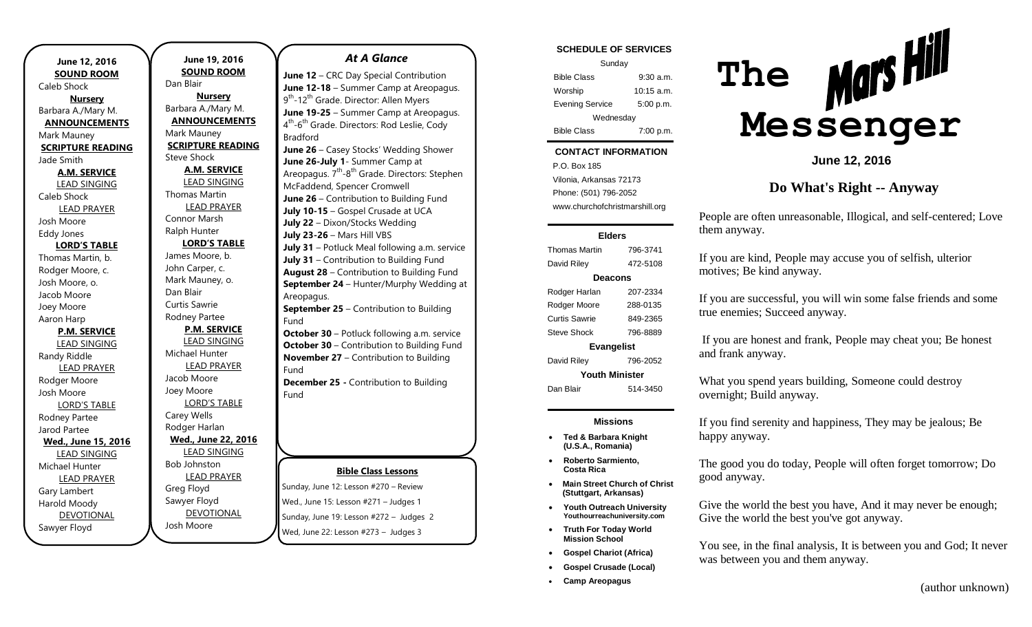| June 12, 2016            | June 19            |
|--------------------------|--------------------|
| <b>SOUND ROOM</b>        | <b>SOUND</b>       |
| Caleb Shock              | Dan Blair          |
| <b>Nursery</b>           | <u>Nurs</u>        |
| Barbara A./Mary M.       | Barbara A./N       |
| <b>ANNOUNCEMENTS</b>     | <b>ANNOUN</b>      |
| Mark Mauney              | Mark Maune         |
| <b>SCRIPTURE READING</b> | <b>SCRIPTURE</b>   |
| Jade Smith               | <b>Steve Shock</b> |
| <b>A.M. SERVICE</b>      | <b>A.M. SI</b>     |
| <b>LEAD SINGING</b>      | <b>LEAD SI</b>     |
| Caleb Shock              | <b>Thomas Mar</b>  |
| <b>LEAD PRAYER</b>       | <b>LEAD P</b>      |
| Josh Moore               | Connor Mar         |
| <b>Eddy Jones</b>        | Ralph Hunte        |
| <b>LORD'S TABLE</b>      | LORD'S             |
| Thomas Martin, b.        | James Moor         |
| Rodger Moore, c.         | John Carper        |
| Josh Moore, o.           | Mark Maune         |
| Jacob Moore              | Dan Blair          |
| Joey Moore               | Curtis Sawrie      |
| Aaron Harp               | Rodney Part        |
| <b>P.M. SERVICE</b>      | P.M. SE            |
| <b>LEAD SINGING</b>      | <b>LEAD SI</b>     |
| Randy Riddle             | Michael Hur        |
| <b>LEAD PRAYER</b>       | <b>LEAD P</b>      |
| Rodger Moore             | Jacob Moor         |
| Josh Moore               | Joey Moore         |
| <b>LORD'S TABLE</b>      | LORD'S             |
| Rodney Partee            | Carey Wells        |
| Jarod Partee             | Rodger Harl        |
| Wed., June 15, 2016      | Wed., June         |
| <b>LEAD SINGING</b>      | <b>LEAD SI</b>     |
| Michael Hunter           | <b>Bob Johnsto</b> |
| <b>LEAD PRAYER</b>       | <b>LEAD P</b>      |
| Gary Lambert             | Greg Floyd         |
| Harold Moody             | Sawyer Floy        |
| <b>DEVOTIONAL</b>        | <b>DEVOT</b>       |
| Sawyer Floyd             | Josh Moore         |
|                          |                    |

## **June 19, 2016 SD ROOM Nursery** ./Mary M. **INCEMENTS** ıney **RE READING** ck **SERVICE** SINGING Aartin **PRAYER** larsh hter **LORD'S TABLE** ore, b. er, c. iney, o. vrie artee **SERVICE** SINGING lunter PRAYER ore re **D'S TABLE**  $\mathsf{lls}$ arlan **Wed., June 22, 2016** SINGING ston PRAYER bvd **DTIONAL** Fund Fund Fund

#### *At A Glance*

**June 12** – CRC Day Special Contribution **June 12-18** – Summer Camp at Areopagus. 9<sup>th</sup>-12<sup>th</sup> Grade. Director: Allen Myers **June 19-25** – Summer Camp at Areopagus. 4<sup>th</sup>-6<sup>th</sup> Grade. Directors: Rod Leslie, Cody Bradford **June 26** – Casey Stocks' Wedding Shower **June 26-July 1**- Summer Camp at Areopagus. 7<sup>th</sup>-8<sup>th</sup> Grade. Directors: Stephen McFaddend, Spencer Cromwell **June 26** – Contribution to Building Fund **July 10-15** – Gospel Crusade at UCA **July 22** – Dixon/Stocks Wedding **July 23-26** – Mars Hill VBS **July 31** – Potluck Meal following a.m. service **July 31** – Contribution to Building Fund **August 28** – Contribution to Building Fund **September 24** – Hunter/Murphy Wedding at Areopagus. **September 25** – Contribution to Building **October 30** – Potluck following a.m. service **October 30** – Contribution to Building Fund **November 27** – Contribution to Building

**December 25 -** Contribution to Building

## **Bible Class Lessons**

Sunday, June 12: Lesson #270 – Review Wed., June 15: Lesson #271 – Judges 1 Sunday, June 19: Lesson #272 – Judges 2 Wed, June 22: Lesson #273 – Judges 3

## **SCHEDULE OF SERVICES**

| Sunday                 |              |  |
|------------------------|--------------|--|
| <b>Bible Class</b>     | 9.30 a.m.    |  |
| Worship                | $10:15$ a.m. |  |
| <b>Evening Service</b> | 5:00 p.m.    |  |
| Wednesday              |              |  |
| <b>Bible Class</b>     | 7:00 p.m.    |  |

## **CONTACT INFORMATION**

Tuesday  $\mathcal{L}$ . Dex Foo a.m. Vilonia, Arkansas 72173 P.O. Box 185 Phone: (501) 796-2052 www.churchofchristmarshill.org

#### **Elders**

Thomas Martin 796-3741 David Riley 472-5108 **Deacons** Rodger Harlan 207-2334 Rodger Moore 288-0135 Curtis Sawrie 849-2365 Steve Shock 796-8889 **Evangelist** David Riley 796-2052 **Youth Minister** Dan Blair 514-3450

### **Missions**

- **Ted & Barbara Knight (U.S.A., Romania)**
- **Roberto Sarmiento, Costa Rica**
- **Main Street Church of Christ (Stuttgart, Arkansas)**
- **Youth Outreach University Youthourreachuniversity.com**
- **Truth For Today World Mission School**
- **Gospel Chariot (Africa)**
- **Gospel Crusade (Local)**
- **Camp Areopagus**



**June 12, 2016**

**Do What's Right -- Anyway**

People are often unreasonable, Illogical, and self-centered; Love them anyway.

If you are kind, People may accuse you of selfish, ulterior motives; Be kind anyway.

If you are successful, you will win some false friends and some true enemies; Succeed anyway.

If you are honest and frank, People may cheat you; Be honest and frank anyway.

What you spend years building, Someone could destroy overnight; Build anyway.

If you find serenity and happiness, They may be jealous; Be happy anyway.

The good you do today, People will often forget tomorrow; Do good anyway.

Give the world the best you have, And it may never be enough; Give the world the best you've got anyway.

You see, in the final analysis, It is between you and God; It never was between you and them anyway.